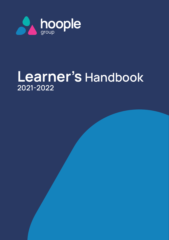

### **Learner's Handbook 2021-2022**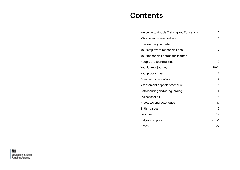### **Contents**

| Welcome to Hoople Training and Education | 4         |
|------------------------------------------|-----------|
| Mission and shared values                | 5         |
| How we use your data                     | 6         |
| Your employer's responsibilities         | 7         |
| Your responsibilities as the learner     | 8         |
| Hoople's responsibilities                | 9         |
| Your learner journey                     | $10 - 11$ |
| Your programme                           | 12        |
| Complaints procedure                     | 12        |
| Assessment appeals procedure             | 13        |
| Safe learning and safeguarding           | 14        |
| Fairness for all                         | 16        |
| Protected characteristics                | 17        |
| <b>British values</b>                    | 19        |
| <b>Facilities</b>                        | 19        |
| Help and support                         | $20 - 21$ |
| <b>Notes</b>                             | 22        |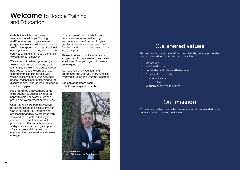### **Welcome** to Hoople Training and Education

On behalf of all the team, may we welcome you to Hoople Training and Education and to your learning programme. We are delighted to be able to offer you a personal and professional development opportunity, which we are sure you will find enormously beneficial to you and your employer.

We are committed to supporting you to reach your full potential and your learning goals. From the outset, we will help you to make the correct choice of programme and undertake with you an assessment of your individual needs. Evidence of prior learning will be discussed and if appropriate, included in your learning plan.

If it is identified that you need some extra support to succeed, we will be happy to help. For example, we can provide extra equipment or resources.

Once you're on programme, you will be assigned a Hoople assessor/tutor who will oversee your learning and assessment and review progress with you (and your employer) at regular intervals. On completion, we will provide you with information, advice and guidance in terms of your options - for example additional learning opportunities, progression and career choices.-

I'm sure you will find the whole team here professional and welcoming and our environment perfect for your studies. However, we always welcome feedback and, in particular, ideas on how we can improve.

Please do let us know if you have any suggestions for improvement. We'd also love to hear from you if you think we've done a good job!

We hope you enjoy your learning programme and wish you every success with your studies and your future career.

**Senior Management Team Hoople Training and Education** 



### Our **shared values**

Respect for all, regardless of faith and beliefs, race, age, gender, sexual orientation, marital status or disability-

- **Democracy**
- Individual liberty
- Law abiding attitudes and behaviours
- Equality of opportunity
- Freedom of speech
- The rule of law
- Mutual respect and tolerance

### Our **mission**

To provide excellent, cost effective services and create added value for our shareholders and customers-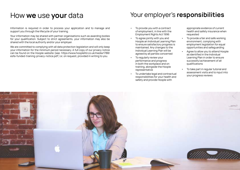### How **we** use **your** data

Information is required in order to process your application and to manage and support you through the lifecycle of your training.

Your information may be shared with partner organisations such as awarding bodies for your-qualification. Subject to strict agreements, your information may also be shared with the local authority and/or your employer.

We are committed to complying with all data protection legislation and will only keep your information for the minimum period necessary. A full copy of our privacy notice can be found on the Hoople website (see: [https://www.hoopleltd.co.uk/media/1788/](https://www.hoopleltd.co.uk/media/1788)esfa-funded-training-privacy-notice.pdf ) or, on request, provided in writing to you.-

### Your employer's responsibilities

- To provide you with a contract of employment, in line with the Employment Rights Act 1996-
- To agree jointly with you and Hoople an Individual Learning Plan to ensure satisfactory progress is maintained. Any changes to the Individual Learning Plan will be agreed by all parties concerned-
- To regularly review your performance and progress in both the workplace and on training, alongside the Hoople representative
- To undertake legal and contractual responsibilities for your health and safety and provide Hoople with

appropriate evidence of current health and safety insurance when requested

- To provide a fair and safe working environment, complying with employment legislation for equal opportunities and safeguarding
- Agree to allow you to attend Hoople as identified in the Individual Learning Plan in order to ensure successful achievement of all qualifications-
- To take part in regular tutorial and assessment visits and to input into your progress reviews-

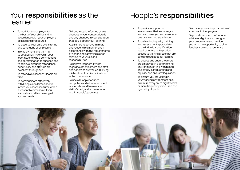# Your **responsibilities** as the<br>learner

- To work for the employer to the best of your ability and in accordance with your employer's policies and procedures-
- To observe your employer's terms and conditions of employment-
- In employment and training, to get actively involved in your learning, showing a commitment and determination to succeed and to achieve, ensuring attendance, punctuality and attitude are excellent throughout
- To attend all classes at Hoople on time
- To communicate effectively with Hoople at all times and to inform your assessor/tutor within a reasonable timescale if you are unable to attend arranged appointments-
- To keep Hoople informed of any changes in your contact details and any changes in your situation that could affect your learning-
- At all times to behave in a safe and responsible manner and in accordance with the requirements of health and safety legislation relating to your role and responsibilities-
- To behave respectfully with regard to other learners and staff and adhere to our values. Bullying, mistreatment or discrimination will not be tolerated
- To use all Hoople facilities. computers and other equipment responsibly and to wear your visitor's badge at all times when within Hoople's premises.-

### **Hoople's responsibilities**

- To provide a supportive environment that encourages and welcomes you and ensures a positive learning experience
- To deliver high quality training and assessment appropriate to the individual qualification requirements and to provide access to training areas that are safe and equipped for learning-
- To assess and ensure learners are employed in a safe working environment in line with health and safety, safeguarding and equality and diversity legislation-
- To ensure you are visited in your working environment as a minimum every six to eight weeks or more frequently if required and agreed by all parties-
- To ensure you are in possession of a contract of employment
- To provide access to information, advice and guidance throughout your programme and provide you with the opportunity to give feedback on your experience.

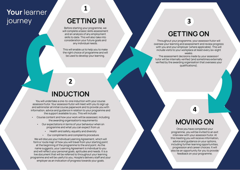### Your learner journey

# **GETTING IN**

**1**

Before starting your programme, we will complete a basic skills assessment and an analysis of any employment skills to date. This will also take into consideration your future goals and any individual needs.-

This will enable us to help you to make the right choice of programme and will be used to develop your learning.

## **INDUCTION**

**2**

You will undertake a one-to-one induction with your course assessor/tutor. Your assessor/tutor will meet with you to sign up and administer all initial course paperwork and to provide you with information, advice and guidance in relation to your programme and the support available to you. This will include:-

- Course content and how your work will be assessed, including the awarding organisation's requirements
	- Our expectations in terms of your behaviour when on programme and what you can expect from us
		- Health and safety, equality and diversity-
		- Our compliments and complaints procedure

employer as an indication or progress towards your goals. We will discuss your Individual Learning Agreement, which will form a 'route map' of how you will travel from your starting point at the beginning of the programme to the end point. As the name suggests, your Learning Agreement is individual to you and will reflect your personal goals, aptitudes and needs. It is a live document that will be referred to throughout your learning programme and will be useful to you, Hoople's delivery staff and your employer as an indication of progress towards your goals.-

### **3**

### **GETTING ON**

Throughout your programme, your assessor/tutor will oversee your learning and assessment and review progress with you and your employer (where applicable). This will include visits to your workplace at least every six-eight weeks.

The assessment decisions made by your assessor/tutor will be internally verified (and sometimes externally verified by the awarding organisation that oversees your qualifications).

### **4**

### **MOVING ON**

Once you have completed your programme, you will be invited to an exit interview with your assessor/tutor. At this meeting you will receive information, advice and guidance on your options, including further learning opportunities, progression and career choices. It will also be an opportunity for you to provide feedback on your programme.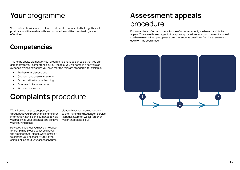### **Your** programme

Your qualification includes a blend of different components that together will provide you with valuable skills and knowledge and the tools to do your job effectively.

### **Competencies**

This is the onsite element of your programme and is designed so that you can demonstrate your competence in your job role. You will compile a portfolio of evidence which shows that you have met the relevant standards, for example:

- Professional discussions-
- Question and answer sessions-
- Accreditation for prior learning
- Assessor/tutor observation
- Witness testimony-

### **Complaints** procedure

We will do our best to support you please direct your correspondence throughout your programme and to offer to the Training and Education Service information, advice and guidance to help you maximise your potential and achieve [weller@hoopleltd.co.uk](mailto:weller@hoopleltd.co.uk)). your learning goals.-

Manager, Stephen Weller (stephen.

However, if you feel you have any cause for complaint, please do let us know. In the first instance, please write, email or telephone your assessor/tutor. If the complaint is about your assessor/tutor,

# **Assessment appeals**  procedure

If you are dissatisfied with the outcome of an assessment, you have the right to appeal. There are three stages to the appeals procedure, as shown below. If you feel you have reason to appeal, please do so as soon as possible after the assessment decision has been made.-

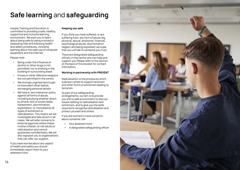### **Safe learning** and **safeguarding**

Hoople Training and Education is committed to providing a safe, healthy, supportive and inclusive learning environment. We want you to learn about being safe by being involved in assessing risks and following health and safety procedures, including learning about the safe use of computer equipment and the internet.

#### Please note:

- Being under the influence of alcohol or other drugs is not permitted, nor is smoking in the building or surrounding areas-
- Knives or other offensive weapons are not permitted in the centre
- We strongly urge learners to get to know each other before exchanging personal details-
- We have a 'zero tolerance' policy against all forms of abuse, including bullying whether direct, by phone, text or social media, harassment, discrimination, exploitation, or motivated by all types of extremism or radicalisation. This means we will investigate and take action in all cases. We will refer concerns to external agencies where these involve children, at risk adults or radicalisation and cannot guarantee confidentiality. We will also signpost you to organisations that can offer you support-

If you have worries about any aspect of health and safety you should immediately report them to your assessor/tutor.-

#### **Keeping you safe**

If you think you have suffered, or are suffering from, any form of abuse (eg physical, sexual, emotional, financial, psychological abuse, discrimination, neglect and being exploited) we hope that you will talk to someone you trust.-

There are designated safeguarding officers in the centre who can help and support you.Please refer to the section at the back of this booklet for contact information.

#### **Working in partnership with PREVENT**

Radicalisation is the process by which a person comes to support terrorism and other forms of extremism leading to terrorism.-

As part of our safeguarding arrangements, our aim is to provide you with a safe environment to discuss issues relating to radicalisation and extremism, and to give you the skills required to recognise radicalisation and protect yourself and others.

If you are worried or have concerns about someone, tell:

- Your assessor/tutor-
- A designated safeguarding officer

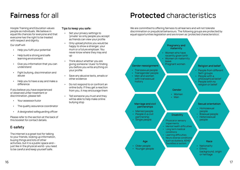### **Fairness** for all

Hoople Training and Education values people as individuals. We believe in equal life chances for everyone and that everyone has the right to be treated with respect and dignity.

#### Our staff will:-

- Help you fulfil your potential
- Help build a strong and safe learning environment
- Give you information that you can understand-
- Fight bullying, discrimination and abuse-
- Help you to have a say and make a difference

If you believe you have experienced or observed unfair treatment or discrimination, please tell:-

- Your assessor/tutor
- The quality assurance coordinator
- A designated safeguarding officer

Please refer to the section at the back of this booklet for contact details.-

### **E-safety**

The internet is a great tool for talking to your friends, looking up information, buying things and lots of other activities, but it is a public space and $$ just like in the physical world—you need to be careful and keep yourself safe.

#### **Tips to keep you safe:**

- Set your privacy settings to 'private' so only people you accept as friends can view your profile-
- Only upload photos you would be happy to show a stranger, your mum or a future employer. You never know where they may end up
- Think about whether you are giving someone 'clues' to finding you before you write anything on your profile-
- Save any abusive texts, emails or other evidence
- Do not respond to or confront an online bully. If they get a reaction from you, it may encourage them
- Tell someone you trust and they will be able to help make online bullying stop-

### **Protected** characteristics

We are committed to offering fairness to all learners and will not tolerate discrimination or prejudicial behaviours. The following groups are protected by equal opportunities legislation and are known as 'protected characteristics'.

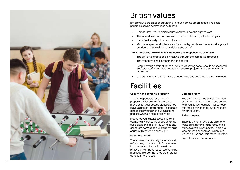

### British **values**

British values are embedded within all of our learning programmes. The basic principles can be summarised as follows:

- **Democracy**  your opinion counts and you have the right to vote-
- **The rule of law** no one is above the law and the law protects everyone-
- **Individual liberty** freedom of speech-
- $\vdots$ **• Mutual respect and tolerance** – for all backgrounds and cultures, all ages, all genders and sexualities, all religions and beliefs-

#### **This translates into the following rights and responsibilities for all:**

- The ability to affect decision making through the democratic process-
- The freedom to hold other faiths and beliefs
- People having different faiths or beliefs (of having none) should be accepted and tolerated and should not be the cause of prejudicial or discriminatory behaviour
- Understanding the importance of identifying and combatting discrimination.

### **Facilities**

#### **Security and personal property**

You are responsible for your own property whilst on site. Lockers are provided for your use, so please do not leave valuables unattended. Please take care to lock your car and use a secure padlock when using our bike racks.

Please let your tutor/assessor know if you have any concerns or see anything suspicious on site or if you witness any deliberate damage to our property, drug abuse or threatening behaviour.

#### **Resource library**

There is a range of study materials and reference guides available for your use in our resource library. Please do not remove any of these resources from the premises in order that they are there for other learners to use.-

#### **Common room**

The common room is available for your use when you wish to relax and unwind with your fellow learners. Please keep this area clean and tidy out of respect for other users.

#### **Refreshments**

There is a kitchen available on site to make drinks and warm up food, and a fridge to store lunch boxes. There are local amentities such as Sainsbury's, Aldi and a Fish and Chip restauraunt to

buy refreshments if required.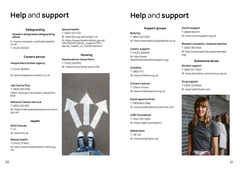### **Help** and **support Help** and **support**

#### **Safeguarding Sexual health**

**Hoople's designated safeguarding** T: 0300 123 7123<br>**officer** W: www.fpa.org. **officer W:** <www.fpa.org.uk/contact-us>-

co.uk info/200207/family\_support/337/- T: 01432 260451-

### **Housing Careers advice**

**Hoople Recruitment agency** T: 01432 260300

T: 01432 383003-

W:<www.hooplerecruitment.co.uk>-

#### **Job Centre Plus**

T: 0800 169 0190https:<www.gov.uk/contact-jobcentre>plus

#### **National Careers Service**  T: 0800 100 900W: [https://nationalcareersservice.direct.](https://nationalcareersservice.direct)

gov.uk/

#### **Health**

**NHS Choices**  T: 111W:<www.nhs.uk>

#### **Mental health**

T: 01432 271643W:<http://www.herefordshire-mind.org>.  $u$ 

Or [https://www.herefordshire.gov.uk/](https://www.herefordshire.gov.uk) E: [sharon.hempton-smith@hoopleltd](mailto:sharon.hempton-smith@hoopleltd).sexual\_health\_in\_herefordshire/1

**Herefordshire Home Point**  W: [https://www.home-point.info-](https://www.home-point.info)



### **Support groups**

**Bullying**  T: 0845 225 5787-W: <www.nationalbullyinghelpline.co.uk>-

**Carers' support**  T: 01432 356068-

W: [http://www.](http://www) [herefordshirecarerssupport.org](https://herefordshirecarerssupport.org)/

**Childline**  T: 0800 1111-W: <www.childline.org.uk>

**Citizen's Advice**  T: 03444 111444-W: [www.citizensadvice.org.uk-](www.citizensadvice.org.uk)

**Equal opportunities**  T: 0808 800 0082-W: <www.equalityadvisoryservice.com>-

**LGBT Foundation**  T: 0345 330 3030-W: <https://lgbt.foundation>/-

**Samaritans**  T: 116 123-W: <www.samaritans.org>

#### **Victim support**  T: 0808 168 9111-W: [www.victimsupport.org.uk-](www.victimsupport.org.uk)

**Women's domestic violence helpline**  T: 0800 783 1359W:<http://www.westmerciawomensaid>. org/

#### **Substance abuse**

**Alcohol support**  T: 0800 917 7650-W:<www.alcoholics-anonymous.org.uk>-

**Drug support**  T: 0300 123 6600-W: [www.talktofrank.com-](www.talktofrank.com)

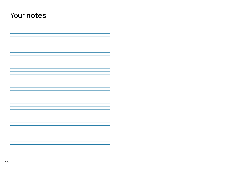### <span id="page-11-0"></span>Your **notes**